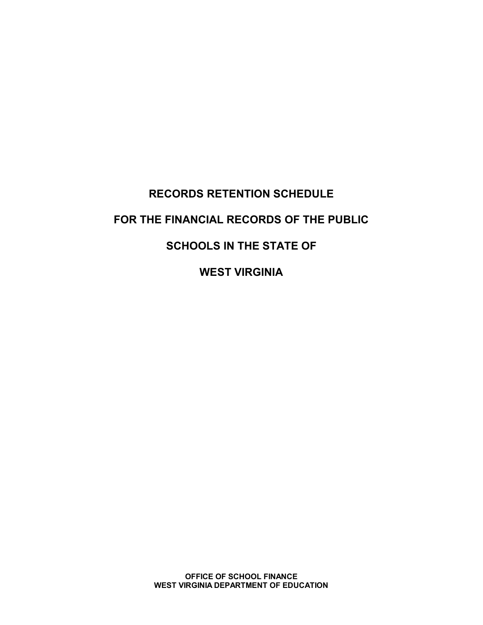# **RECORDS RETENTION SCHEDULE FOR THE FINANCIAL RECORDS OF THE PUBLIC SCHOOLS IN THE STATE OF**

**WEST VIRGINIA**

**OFFICE OF SCHOOL FINANCE WEST VIRGINIA DEPARTMENT OF EDUCATION**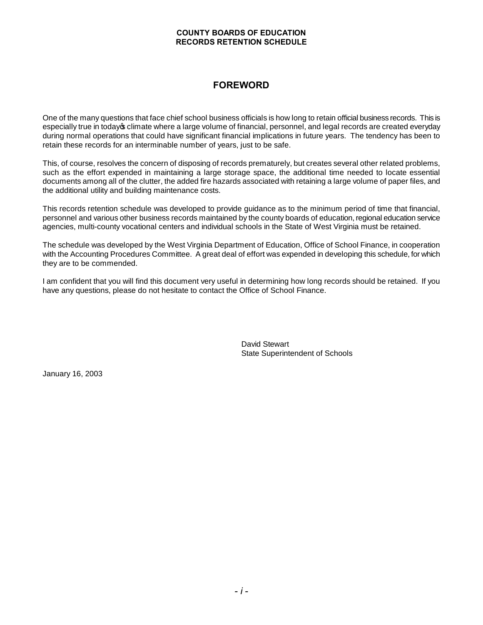# **FOREWORD**

One of the many questions that face chief school business officials is how long to retain official business records. This is especially true in today of climate where a large volume of financial, personnel, and legal records are created everyday during normal operations that could have significant financial implications in future years. The tendency has been to retain these records for an interminable number of years, just to be safe.

This, of course, resolves the concern of disposing of records prematurely, but creates several other related problems, such as the effort expended in maintaining a large storage space, the additional time needed to locate essential documents among all of the clutter, the added fire hazards associated with retaining a large volume of paper files, and the additional utility and building maintenance costs.

This records retention schedule was developed to provide guidance as to the minimum period of time that financial, personnel and various other business records maintained by the county boards of education, regional education service agencies, multi-county vocational centers and individual schools in the State of West Virginia must be retained.

The schedule was developed by the West Virginia Department of Education, Office of School Finance, in cooperation with the Accounting Procedures Committee. A great deal of effort was expended in developing this schedule, for which they are to be commended.

I am confident that you will find this document very useful in determining how long records should be retained. If you have any questions, please do not hesitate to contact the Office of School Finance.

> David Stewart State Superintendent of Schools

January 16, 2003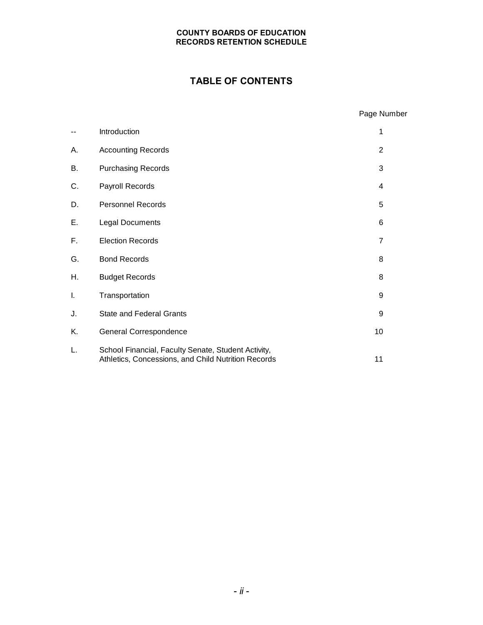# **TABLE OF CONTENTS**

|    |                                                                                                            | Page Number    |
|----|------------------------------------------------------------------------------------------------------------|----------------|
| -- | Introduction                                                                                               | 1              |
| А. | <b>Accounting Records</b>                                                                                  | $\overline{2}$ |
| В. | <b>Purchasing Records</b>                                                                                  | 3              |
| C. | Payroll Records                                                                                            | 4              |
| D. | <b>Personnel Records</b>                                                                                   | 5              |
| Ε. | Legal Documents                                                                                            | 6              |
| F. | <b>Election Records</b>                                                                                    | 7              |
| G. | <b>Bond Records</b>                                                                                        | 8              |
| Η. | <b>Budget Records</b>                                                                                      | 8              |
| I. | Transportation                                                                                             | 9              |
| J. | <b>State and Federal Grants</b>                                                                            | 9              |
| Κ. | General Correspondence                                                                                     | 10             |
| L. | School Financial, Faculty Senate, Student Activity,<br>Athletics, Concessions, and Child Nutrition Records | 11             |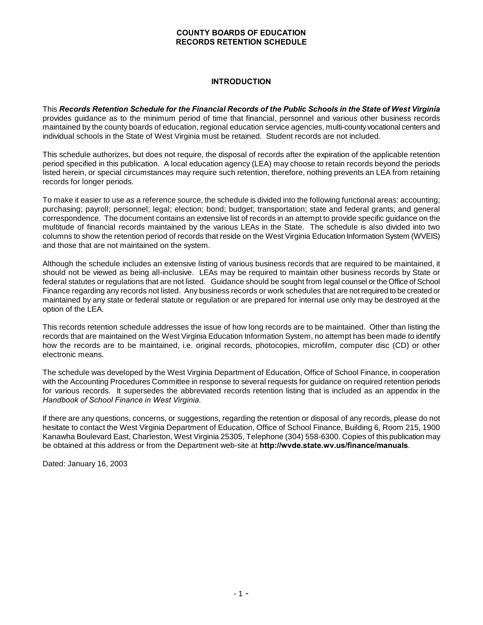#### **INTRODUCTION**

This *Records Retention Schedule for the Financial Records of the Public Schools in the State of West Virginia* provides guidance as to the minimum period of time that financial, personnel and various other business records maintained by the county boards of education, regional education service agencies, multi-county vocational centers and individual schools in the State of West Virginia must be retained. Student records are not included.

This schedule authorizes, but does not require, the disposal of records after the expiration of the applicable retention period specified in this publication. A local education agency (LEA) may choose to retain records beyond the periods listed herein, or special circumstances may require such retention, therefore, nothing prevents an LEA from retaining records for longer periods.

To make it easier to use as a reference source, the schedule is divided into the following functional areas: accounting; purchasing; payroll; personnel; legal; election; bond; budget; transportation; state and federal grants; and general correspondence. The document contains an extensive list of records in an attempt to provide specific guidance on the multitude of financial records maintained by the various LEAs in the State. The schedule is also divided into two columns to show the retention period of records that reside on the West Virginia Education Information System (WVEIS) and those that are not maintained on the system.

Although the schedule includes an extensive listing of various business records that are required to be maintained, it should not be viewed as being all-inclusive. LEAs may be required to maintain other business records by State or federal statutes or regulations that are not listed. Guidance should be sought from legal counsel or the Office of School Finance regarding any records not listed. Any business records or work schedules that are not required to be created or maintained by any state or federal statute or regulation or are prepared for internal use only may be destroyed at the option of the LEA.

This records retention schedule addresses the issue of how long records are to be maintained. Other than listing the records that are maintained on the West Virginia Education Information System, no attempt has been made to identify how the records are to be maintained, i.e. original records, photocopies, microfilm, computer disc (CD) or other electronic means.

The schedule was developed by the West Virginia Department of Education, Office of School Finance, in cooperation with the Accounting Procedures Committee in response to several requests for guidance on required retention periods for various records. It supersedes the abbreviated records retention listing that is included as an appendix in the *Handbook of School Finance in West Virginia*.

If there are any questions, concerns, or suggestions, regarding the retention or disposal of any records, please do not hesitate to contact the West Virginia Department of Education, Office of School Finance, Building 6, Room 215, 1900 Kanawha Boulevard East, Charleston, West Virginia 25305, Telephone (304) 558-6300. Copies of this publication may be obtained at this address or from the Department web-site at **http://wvde.state.wv.us/finance/manuals**.

Dated: January 16, 2003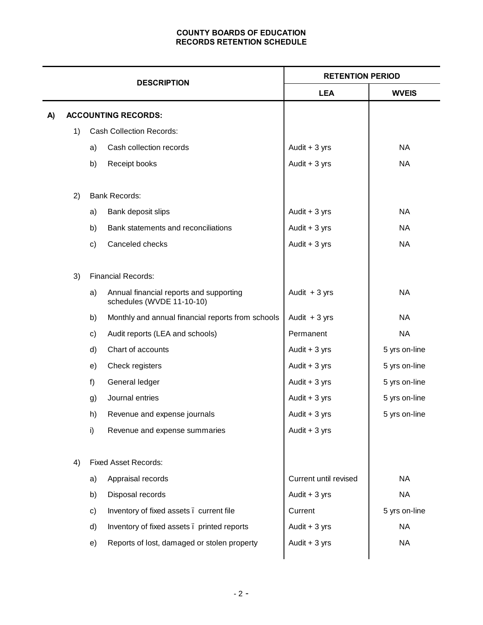| <b>DESCRIPTION</b> |    | <b>RETENTION PERIOD</b> |                                                                      |                       |               |
|--------------------|----|-------------------------|----------------------------------------------------------------------|-----------------------|---------------|
|                    |    |                         |                                                                      | <b>LEA</b>            | <b>WVEIS</b>  |
| A)                 |    |                         | <b>ACCOUNTING RECORDS:</b>                                           |                       |               |
|                    | 1) |                         | <b>Cash Collection Records:</b>                                      |                       |               |
|                    |    | a)                      | Cash collection records                                              | Audit $+3$ yrs        | <b>NA</b>     |
|                    |    | b)                      | Receipt books                                                        | Audit $+3$ yrs        | <b>NA</b>     |
|                    | 2) |                         | <b>Bank Records:</b>                                                 |                       |               |
|                    |    | a)                      | Bank deposit slips                                                   | Audit + 3 yrs         | <b>NA</b>     |
|                    |    | b)                      | Bank statements and reconciliations                                  | Audit $+3$ yrs        | <b>NA</b>     |
|                    |    | c)                      | Canceled checks                                                      | Audit $+3$ yrs        | <b>NA</b>     |
|                    | 3) |                         | <b>Financial Records:</b>                                            |                       |               |
|                    |    | a)                      | Annual financial reports and supporting<br>schedules (WVDE 11-10-10) | Audit $+3$ yrs        | <b>NA</b>     |
|                    |    | b)                      | Monthly and annual financial reports from schools                    | Audit $+3$ yrs        | <b>NA</b>     |
|                    |    | c)                      | Audit reports (LEA and schools)                                      | Permanent             | <b>NA</b>     |
|                    |    | d)                      | Chart of accounts                                                    | Audit $+3$ yrs        | 5 yrs on-line |
|                    |    | e)                      | Check registers                                                      | Audit $+3$ yrs        | 5 yrs on-line |
|                    |    | f)                      | General ledger                                                       | Audit $+3$ yrs        | 5 yrs on-line |
|                    |    | g)                      | Journal entries                                                      | Audit $+3$ yrs        | 5 yrs on-line |
|                    |    | h)                      | Revenue and expense journals                                         | Audit $+3$ yrs        | 5 yrs on-line |
|                    |    | i)                      | Revenue and expense summaries                                        | Audit $+3$ yrs        |               |
|                    | 4) |                         | <b>Fixed Asset Records:</b>                                          |                       |               |
|                    |    | a)                      | Appraisal records                                                    | Current until revised | <b>NA</b>     |
|                    |    | b)                      | Disposal records                                                     | Audit $+3$ yrs        | <b>NA</b>     |
|                    |    | c)                      | Inventory of fixed assets . current file                             | Current               | 5 yrs on-line |
|                    |    | d)                      | Inventory of fixed assets . printed reports                          | Audit $+3$ yrs        | <b>NA</b>     |
|                    |    | e)                      | Reports of lost, damaged or stolen property                          | Audit $+3$ yrs        | <b>NA</b>     |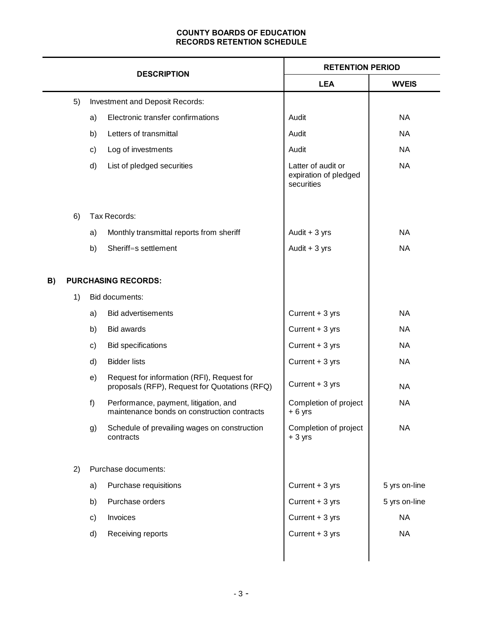|    |    |    | <b>RETENTION PERIOD</b>                                                                     |                                                           |               |
|----|----|----|---------------------------------------------------------------------------------------------|-----------------------------------------------------------|---------------|
|    |    |    | <b>DESCRIPTION</b>                                                                          | <b>LEA</b>                                                | <b>WVEIS</b>  |
|    | 5) |    | Investment and Deposit Records:                                                             |                                                           |               |
|    |    | a) | Electronic transfer confirmations                                                           | Audit                                                     | <b>NA</b>     |
|    |    | b) | Letters of transmittal                                                                      | Audit                                                     | <b>NA</b>     |
|    |    | c) | Log of investments                                                                          | Audit                                                     | <b>NA</b>     |
|    |    | d) | List of pledged securities                                                                  | Latter of audit or<br>expiration of pledged<br>securities | <b>NA</b>     |
|    | 6) |    | Tax Records:                                                                                |                                                           |               |
|    |    | a) | Monthly transmittal reports from sheriff                                                    | Audit $+3$ yrs                                            | <b>NA</b>     |
|    |    | b) | Sheriff=s settlement                                                                        | Audit $+3$ yrs                                            | <b>NA</b>     |
|    |    |    |                                                                                             |                                                           |               |
| B) |    |    | <b>PURCHASING RECORDS:</b>                                                                  |                                                           |               |
|    | 1) |    | Bid documents:                                                                              |                                                           |               |
|    |    | a) | <b>Bid advertisements</b>                                                                   | Current + 3 yrs                                           | <b>NA</b>     |
|    |    | b) | <b>Bid awards</b>                                                                           | Current + 3 yrs                                           | <b>NA</b>     |
|    |    | c) | <b>Bid specifications</b>                                                                   | Current + 3 yrs                                           | <b>NA</b>     |
|    |    | d) | <b>Bidder lists</b>                                                                         | Current + 3 yrs                                           | <b>NA</b>     |
|    |    | e) | Request for information (RFI), Request for<br>proposals (RFP), Request for Quotations (RFQ) | Current + 3 yrs                                           | <b>NA</b>     |
|    |    | f) | Performance, payment, litigation, and<br>maintenance bonds on construction contracts        | Completion of project<br>$+6$ yrs                         | <b>NA</b>     |
|    |    | g) | Schedule of prevailing wages on construction<br>contracts                                   | Completion of project<br>$+3$ yrs                         | <b>NA</b>     |
|    | 2) |    | Purchase documents:                                                                         |                                                           |               |
|    |    | a) | Purchase requisitions                                                                       | Current + 3 yrs                                           | 5 yrs on-line |
|    |    | b) | Purchase orders                                                                             | Current + 3 yrs                                           | 5 yrs on-line |
|    |    | c) | Invoices                                                                                    | Current + 3 yrs                                           | <b>NA</b>     |
|    |    | d) | Receiving reports                                                                           | Current + 3 yrs                                           | <b>NA</b>     |
|    |    |    |                                                                                             |                                                           |               |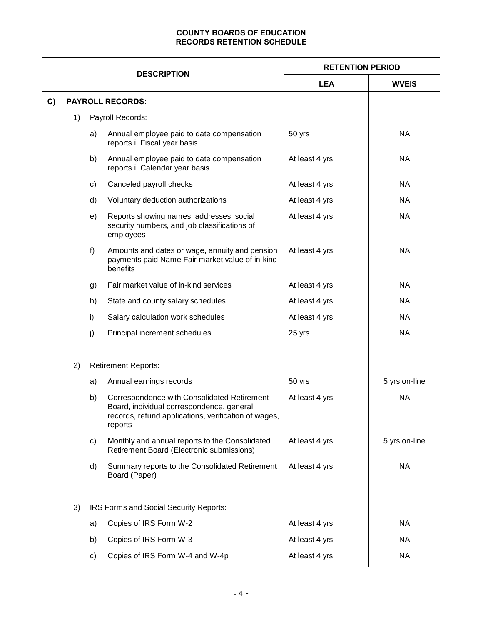|    |                    | <b>RETENTION PERIOD</b> |                                                                                                                                                             |                |               |
|----|--------------------|-------------------------|-------------------------------------------------------------------------------------------------------------------------------------------------------------|----------------|---------------|
|    | <b>DESCRIPTION</b> |                         |                                                                                                                                                             | <b>LEA</b>     | <b>WVEIS</b>  |
| C) |                    |                         | <b>PAYROLL RECORDS:</b>                                                                                                                                     |                |               |
|    | 1)                 |                         | Payroll Records:                                                                                                                                            |                |               |
|    |                    | a)                      | Annual employee paid to date compensation<br>reports . Fiscal year basis                                                                                    | 50 yrs         | <b>NA</b>     |
|    |                    | b)                      | Annual employee paid to date compensation<br>reports . Calendar year basis                                                                                  | At least 4 yrs | <b>NA</b>     |
|    |                    | C)                      | Canceled payroll checks                                                                                                                                     | At least 4 yrs | <b>NA</b>     |
|    |                    | d)                      | Voluntary deduction authorizations                                                                                                                          | At least 4 yrs | <b>NA</b>     |
|    |                    | e)                      | Reports showing names, addresses, social<br>security numbers, and job classifications of<br>employees                                                       | At least 4 yrs | <b>NA</b>     |
|    |                    | f)                      | Amounts and dates or wage, annuity and pension<br>payments paid Name Fair market value of in-kind<br>benefits                                               | At least 4 yrs | <b>NA</b>     |
|    |                    | g)                      | Fair market value of in-kind services                                                                                                                       | At least 4 yrs | <b>NA</b>     |
|    |                    | h)                      | State and county salary schedules                                                                                                                           | At least 4 yrs | <b>NA</b>     |
|    |                    | i)                      | Salary calculation work schedules                                                                                                                           | At least 4 yrs | <b>NA</b>     |
|    |                    | j)                      | Principal increment schedules                                                                                                                               | 25 yrs         | <b>NA</b>     |
|    | 2)                 |                         | <b>Retirement Reports:</b>                                                                                                                                  |                |               |
|    |                    | a)                      | Annual earnings records                                                                                                                                     | 50 yrs         | 5 yrs on-line |
|    |                    | b)                      | Correspondence with Consolidated Retirement<br>Board, individual correspondence, general<br>records, refund applications, verification of wages,<br>reports | At least 4 yrs | <b>NA</b>     |
|    |                    | c)                      | Monthly and annual reports to the Consolidated<br>Retirement Board (Electronic submissions)                                                                 | At least 4 yrs | 5 yrs on-line |
|    |                    | d)                      | Summary reports to the Consolidated Retirement<br>Board (Paper)                                                                                             | At least 4 yrs | <b>NA</b>     |
|    | 3)                 |                         | IRS Forms and Social Security Reports:                                                                                                                      |                |               |
|    |                    | a)                      | Copies of IRS Form W-2                                                                                                                                      | At least 4 yrs | <b>NA</b>     |
|    |                    | b)                      | Copies of IRS Form W-3                                                                                                                                      | At least 4 yrs | <b>NA</b>     |
|    |                    | C)                      | Copies of IRS Form W-4 and W-4p                                                                                                                             | At least 4 yrs | <b>NA</b>     |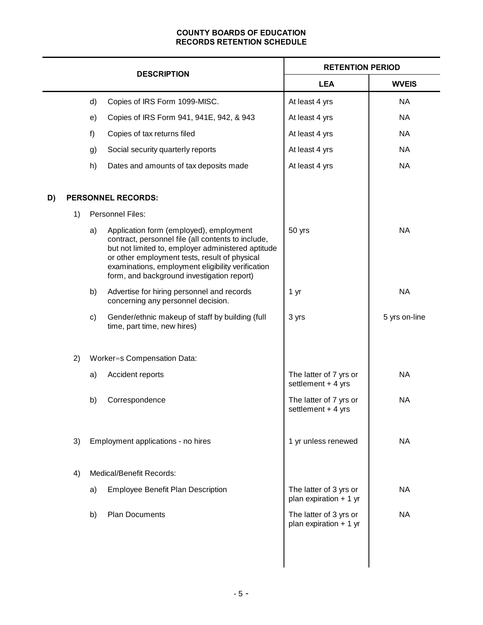|    |    |    |                                                                                                                                                                                                                                                                                                         | <b>RETENTION PERIOD</b>                           |               |
|----|----|----|---------------------------------------------------------------------------------------------------------------------------------------------------------------------------------------------------------------------------------------------------------------------------------------------------------|---------------------------------------------------|---------------|
|    |    |    | <b>DESCRIPTION</b>                                                                                                                                                                                                                                                                                      | <b>LEA</b>                                        | <b>WVEIS</b>  |
|    |    | d) | Copies of IRS Form 1099-MISC.                                                                                                                                                                                                                                                                           | At least 4 yrs                                    | <b>NA</b>     |
|    |    | e) | Copies of IRS Form 941, 941E, 942, & 943                                                                                                                                                                                                                                                                | At least 4 yrs                                    | <b>NA</b>     |
|    |    | f) | Copies of tax returns filed                                                                                                                                                                                                                                                                             | At least 4 yrs                                    | <b>NA</b>     |
|    |    | g) | Social security quarterly reports                                                                                                                                                                                                                                                                       | At least 4 yrs                                    | <b>NA</b>     |
|    |    | h) | Dates and amounts of tax deposits made                                                                                                                                                                                                                                                                  | At least 4 yrs                                    | <b>NA</b>     |
| D) |    |    | <b>PERSONNEL RECORDS:</b>                                                                                                                                                                                                                                                                               |                                                   |               |
|    | 1) |    | <b>Personnel Files:</b>                                                                                                                                                                                                                                                                                 |                                                   |               |
|    |    | a) | Application form (employed), employment<br>contract, personnel file (all contents to include,<br>but not limited to, employer administered aptitude<br>or other employment tests, result of physical<br>examinations, employment eligibility verification<br>form, and background investigation report) | 50 yrs                                            | <b>NA</b>     |
|    |    | b) | Advertise for hiring personnel and records<br>concerning any personnel decision.                                                                                                                                                                                                                        | 1 yr                                              | <b>NA</b>     |
|    |    | c) | Gender/ethnic makeup of staff by building (full<br>time, part time, new hires)                                                                                                                                                                                                                          | 3 yrs                                             | 5 yrs on-line |
|    | 2) |    | Worker=s Compensation Data:                                                                                                                                                                                                                                                                             |                                                   |               |
|    |    | a) | Accident reports                                                                                                                                                                                                                                                                                        | The latter of 7 yrs or<br>settlement + 4 yrs      | <b>NA</b>     |
|    |    | b) | Correspondence                                                                                                                                                                                                                                                                                          | The latter of 7 yrs or<br>settlement + 4 yrs      | <b>NA</b>     |
|    | 3) |    | Employment applications - no hires                                                                                                                                                                                                                                                                      | 1 yr unless renewed                               | <b>NA</b>     |
|    | 4) |    | Medical/Benefit Records:                                                                                                                                                                                                                                                                                |                                                   |               |
|    |    | a) | <b>Employee Benefit Plan Description</b>                                                                                                                                                                                                                                                                | The latter of 3 yrs or<br>plan expiration $+1$ yr | <b>NA</b>     |
|    |    | b) | <b>Plan Documents</b>                                                                                                                                                                                                                                                                                   | The latter of 3 yrs or<br>plan expiration $+1$ yr | <b>NA</b>     |
|    |    |    |                                                                                                                                                                                                                                                                                                         |                                                   |               |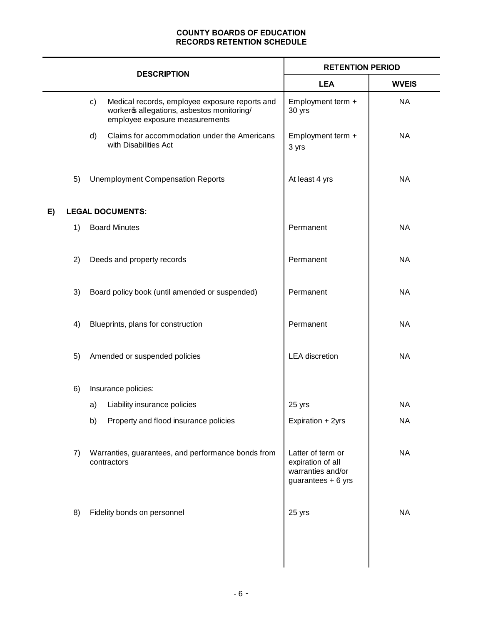|    |    |    |                                                                                                                                | <b>RETENTION PERIOD</b>                                                           |              |
|----|----|----|--------------------------------------------------------------------------------------------------------------------------------|-----------------------------------------------------------------------------------|--------------|
|    |    |    | <b>DESCRIPTION</b>                                                                                                             | <b>LEA</b>                                                                        | <b>WVEIS</b> |
|    |    | c) | Medical records, employee exposure reports and<br>worker & allegations, asbestos monitoring/<br>employee exposure measurements | Employment term +<br>30 yrs                                                       | <b>NA</b>    |
|    |    | d) | Claims for accommodation under the Americans<br>with Disabilities Act                                                          | Employment term +<br>3 yrs                                                        | <b>NA</b>    |
|    | 5) |    | <b>Unemployment Compensation Reports</b>                                                                                       | At least 4 yrs                                                                    | <b>NA</b>    |
| E) |    |    | <b>LEGAL DOCUMENTS:</b>                                                                                                        |                                                                                   |              |
|    | 1) |    | <b>Board Minutes</b>                                                                                                           | Permanent                                                                         | <b>NA</b>    |
|    | 2) |    | Deeds and property records                                                                                                     | Permanent                                                                         | <b>NA</b>    |
|    | 3) |    | Board policy book (until amended or suspended)                                                                                 | Permanent                                                                         | <b>NA</b>    |
|    | 4) |    | Blueprints, plans for construction                                                                                             | Permanent                                                                         | <b>NA</b>    |
|    | 5) |    | Amended or suspended policies                                                                                                  | <b>LEA</b> discretion                                                             | <b>NA</b>    |
|    | 6) |    | Insurance policies:                                                                                                            |                                                                                   |              |
|    |    | a) | Liability insurance policies                                                                                                   | 25 yrs                                                                            | <b>NA</b>    |
|    |    | b) | Property and flood insurance policies                                                                                          | Expiration + 2yrs                                                                 | <b>NA</b>    |
|    | 7) |    | Warranties, guarantees, and performance bonds from<br>contractors                                                              | Latter of term or<br>expiration of all<br>warranties and/or<br>guarantees + 6 yrs | <b>NA</b>    |
|    | 8) |    | Fidelity bonds on personnel                                                                                                    | 25 yrs                                                                            | <b>NA</b>    |
|    |    |    |                                                                                                                                |                                                                                   |              |
|    |    |    |                                                                                                                                |                                                                                   |              |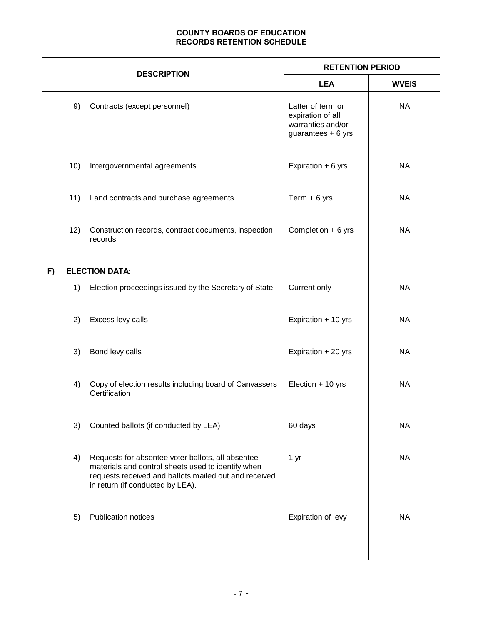| <b>DESCRIPTION</b> |     |                                                                                                                                                                                                      | <b>RETENTION PERIOD</b>                                                           |              |  |
|--------------------|-----|------------------------------------------------------------------------------------------------------------------------------------------------------------------------------------------------------|-----------------------------------------------------------------------------------|--------------|--|
|                    |     |                                                                                                                                                                                                      | <b>LEA</b>                                                                        | <b>WVEIS</b> |  |
|                    | 9)  | Contracts (except personnel)                                                                                                                                                                         | Latter of term or<br>expiration of all<br>warranties and/or<br>guarantees + 6 yrs | <b>NA</b>    |  |
|                    | 10) | Intergovernmental agreements                                                                                                                                                                         | Expiration + 6 yrs                                                                | <b>NA</b>    |  |
|                    | 11) | Land contracts and purchase agreements                                                                                                                                                               | Term $+6$ yrs                                                                     | <b>NA</b>    |  |
|                    | 12) | Construction records, contract documents, inspection<br>records                                                                                                                                      | Completion + 6 yrs                                                                | <b>NA</b>    |  |
| F)                 |     | <b>ELECTION DATA:</b>                                                                                                                                                                                |                                                                                   |              |  |
|                    | 1)  | Election proceedings issued by the Secretary of State                                                                                                                                                | Current only                                                                      | <b>NA</b>    |  |
|                    | 2)  | Excess levy calls                                                                                                                                                                                    | Expiration + 10 yrs                                                               | <b>NA</b>    |  |
|                    | 3)  | Bond levy calls                                                                                                                                                                                      | Expiration + 20 yrs                                                               | <b>NA</b>    |  |
|                    | 4)  | Copy of election results including board of Canvassers<br>Certification                                                                                                                              | Election + 10 yrs                                                                 | <b>NA</b>    |  |
|                    | 3)  | Counted ballots (if conducted by LEA)                                                                                                                                                                | 60 days                                                                           | <b>NA</b>    |  |
|                    | 4)  | Requests for absentee voter ballots, all absentee<br>materials and control sheets used to identify when<br>requests received and ballots mailed out and received<br>in return (if conducted by LEA). | 1 yr                                                                              | <b>NA</b>    |  |
|                    | 5)  | <b>Publication notices</b>                                                                                                                                                                           | Expiration of levy                                                                | <b>NA</b>    |  |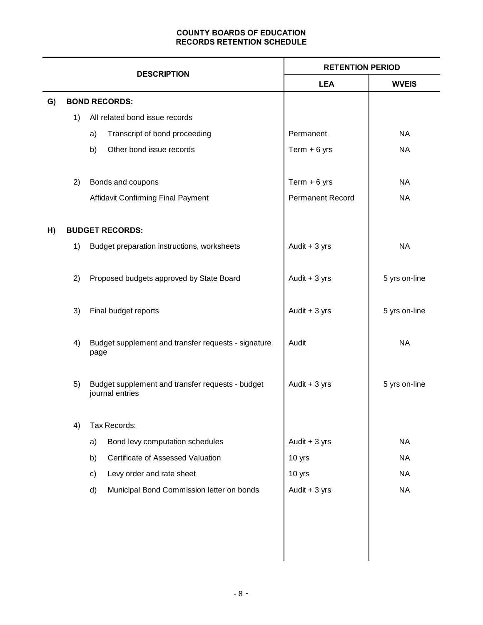|    | <b>DESCRIPTION</b> |                                                                     |                                                     | <b>RETENTION PERIOD</b> |               |
|----|--------------------|---------------------------------------------------------------------|-----------------------------------------------------|-------------------------|---------------|
|    |                    |                                                                     |                                                     | <b>LEA</b>              | <b>WVEIS</b>  |
| G) |                    |                                                                     | <b>BOND RECORDS:</b>                                |                         |               |
|    | 1)                 | All related bond issue records                                      |                                                     |                         |               |
|    |                    | a)                                                                  | Transcript of bond proceeding                       | Permanent               | <b>NA</b>     |
|    |                    | b)                                                                  | Other bond issue records                            | Term $+6$ yrs           | <b>NA</b>     |
|    | 2)                 |                                                                     | Bonds and coupons                                   | Term $+6$ yrs           | NA            |
|    |                    |                                                                     | Affidavit Confirming Final Payment                  | <b>Permanent Record</b> | <b>NA</b>     |
| H) |                    |                                                                     | <b>BUDGET RECORDS:</b>                              |                         |               |
|    | 1)                 |                                                                     | Budget preparation instructions, worksheets         | Audit $+3$ yrs          | <b>NA</b>     |
|    | 2)                 |                                                                     | Proposed budgets approved by State Board            | Audit $+3$ yrs          | 5 yrs on-line |
|    | 3)                 |                                                                     | Final budget reports                                | Audit $+3$ yrs          | 5 yrs on-line |
|    | 4)                 | page                                                                | Budget supplement and transfer requests - signature | Audit                   | <b>NA</b>     |
|    | 5)                 | Budget supplement and transfer requests - budget<br>journal entries |                                                     | Audit $+3$ yrs          | 5 yrs on-line |
|    | 4)                 |                                                                     | Tax Records:                                        |                         |               |
|    |                    | a)                                                                  | Bond levy computation schedules                     | Audit $+3$ yrs          | <b>NA</b>     |
|    |                    | b)                                                                  | Certificate of Assessed Valuation                   | 10 yrs                  | <b>NA</b>     |
|    |                    | c)                                                                  | Levy order and rate sheet                           | 10 yrs                  | <b>NA</b>     |
|    |                    | d)                                                                  | Municipal Bond Commission letter on bonds           | Audit $+3$ yrs          | <b>NA</b>     |
|    |                    |                                                                     |                                                     |                         |               |
|    |                    |                                                                     |                                                     |                         |               |
|    |                    |                                                                     |                                                     |                         |               |
|    |                    |                                                                     |                                                     |                         |               |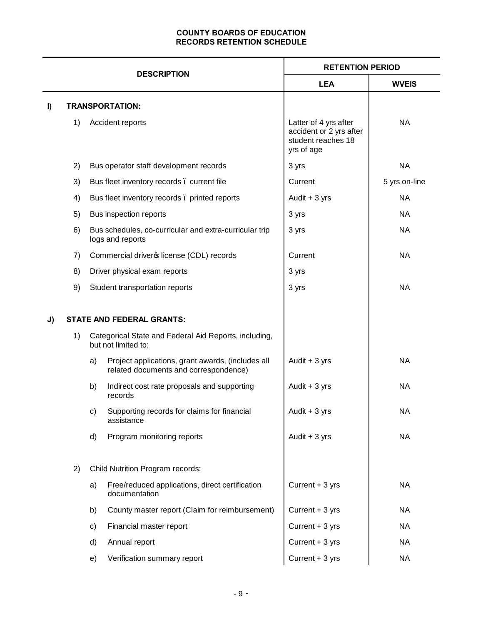|    | <b>DESCRIPTION</b> |    |                                                                                            | <b>RETENTION PERIOD</b>                                                              |               |  |
|----|--------------------|----|--------------------------------------------------------------------------------------------|--------------------------------------------------------------------------------------|---------------|--|
|    |                    |    |                                                                                            | <b>LEA</b>                                                                           | <b>WVEIS</b>  |  |
| I) |                    |    | <b>TRANSPORTATION:</b>                                                                     |                                                                                      |               |  |
|    | 1)                 |    | Accident reports                                                                           | Latter of 4 yrs after<br>accident or 2 yrs after<br>student reaches 18<br>yrs of age | <b>NA</b>     |  |
|    | 2)                 |    | Bus operator staff development records                                                     | 3 yrs                                                                                | <b>NA</b>     |  |
|    | 3)                 |    | Bus fleet inventory records. current file                                                  | Current                                                                              | 5 yrs on-line |  |
|    | 4)                 |    | Bus fleet inventory records. printed reports                                               | Audit $+3$ yrs                                                                       | <b>NA</b>     |  |
|    | 5)                 |    | Bus inspection reports                                                                     | 3 yrs                                                                                | <b>NA</b>     |  |
|    | 6)                 |    | Bus schedules, co-curricular and extra-curricular trip<br>logs and reports                 | 3 yrs                                                                                | <b>NA</b>     |  |
|    | 7)                 |    | Commercial driver ticense (CDL) records                                                    | Current                                                                              | <b>NA</b>     |  |
|    | 8)                 |    | Driver physical exam reports                                                               | 3 yrs                                                                                |               |  |
|    | 9)                 |    | Student transportation reports                                                             | 3 yrs                                                                                | <b>NA</b>     |  |
|    |                    |    |                                                                                            |                                                                                      |               |  |
| J) |                    |    | <b>STATE AND FEDERAL GRANTS:</b>                                                           |                                                                                      |               |  |
|    | 1)                 |    | Categorical State and Federal Aid Reports, including,<br>but not limited to:               |                                                                                      |               |  |
|    |                    | a) | Project applications, grant awards, (includes all<br>related documents and correspondence) | Audit $+3$ yrs                                                                       | <b>NA</b>     |  |
|    |                    | b) | Indirect cost rate proposals and supporting<br>records                                     | Audit $+3$ yrs                                                                       | <b>NA</b>     |  |
|    |                    | C) | Supporting records for claims for financial<br>assistance                                  | Audit $+3$ yrs                                                                       | ΝA            |  |
|    |                    | d) | Program monitoring reports                                                                 | Audit $+3$ yrs                                                                       | <b>NA</b>     |  |
|    | 2)                 |    | Child Nutrition Program records:                                                           |                                                                                      |               |  |
|    |                    | a) | Free/reduced applications, direct certification<br>documentation                           | Current + 3 yrs                                                                      | <b>NA</b>     |  |
|    |                    | b) | County master report (Claim for reimbursement)                                             | Current + 3 yrs                                                                      | <b>NA</b>     |  |
|    |                    | c) | Financial master report                                                                    | Current + 3 yrs                                                                      | <b>NA</b>     |  |
|    |                    | d) | Annual report                                                                              | Current + 3 yrs                                                                      | <b>NA</b>     |  |
|    |                    | e) | Verification summary report                                                                | Current + 3 yrs                                                                      | <b>NA</b>     |  |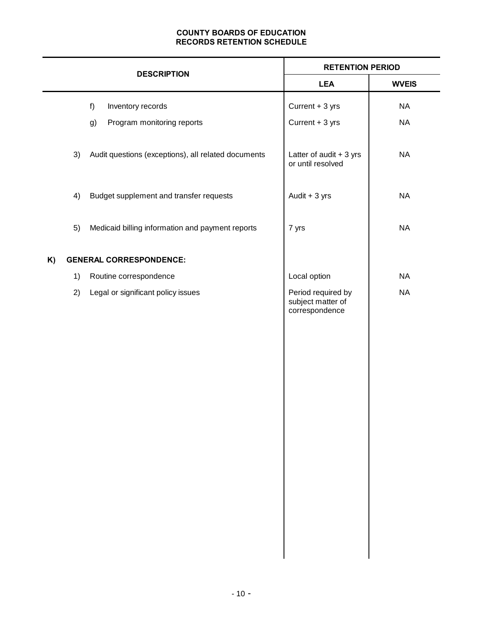|    |    | <b>DESCRIPTION</b>                                  | <b>RETENTION PERIOD</b>                                   |              |  |
|----|----|-----------------------------------------------------|-----------------------------------------------------------|--------------|--|
|    |    |                                                     | <b>LEA</b>                                                | <b>WVEIS</b> |  |
|    |    | f)<br>Inventory records                             | Current + 3 yrs                                           | <b>NA</b>    |  |
|    |    | Program monitoring reports<br>g)                    | Current + 3 yrs                                           | <b>NA</b>    |  |
|    | 3) | Audit questions (exceptions), all related documents | Latter of audit $+3$ yrs<br>or until resolved             | <b>NA</b>    |  |
|    | 4) | Budget supplement and transfer requests             | Audit + 3 yrs                                             | <b>NA</b>    |  |
|    | 5) | Medicaid billing information and payment reports    | 7 yrs                                                     | <b>NA</b>    |  |
| K) |    | <b>GENERAL CORRESPONDENCE:</b>                      |                                                           |              |  |
|    | 1) | Routine correspondence                              | Local option                                              | <b>NA</b>    |  |
|    | 2) | Legal or significant policy issues                  | Period required by<br>subject matter of<br>correspondence | <b>NA</b>    |  |
|    |    |                                                     |                                                           |              |  |
|    |    |                                                     |                                                           |              |  |
|    |    |                                                     |                                                           |              |  |
|    |    |                                                     |                                                           |              |  |
|    |    |                                                     |                                                           |              |  |
|    |    |                                                     |                                                           |              |  |
|    |    |                                                     |                                                           |              |  |
|    |    |                                                     |                                                           |              |  |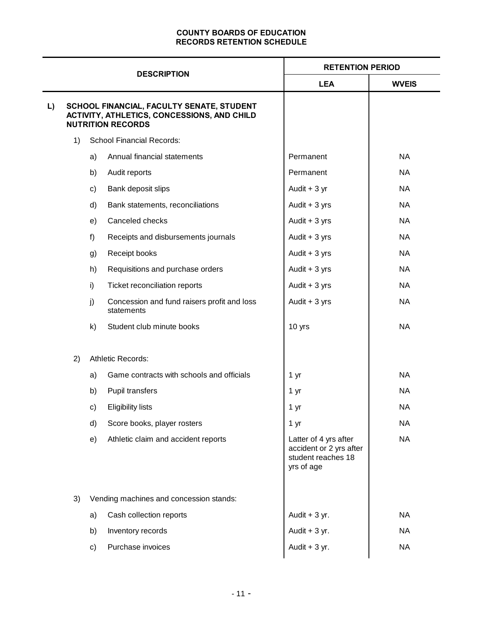| <b>DESCRIPTION</b> |    |                                                                                                                      |                                                           | <b>RETENTION PERIOD</b>                                                              |              |  |
|--------------------|----|----------------------------------------------------------------------------------------------------------------------|-----------------------------------------------------------|--------------------------------------------------------------------------------------|--------------|--|
|                    |    |                                                                                                                      |                                                           | <b>LEA</b>                                                                           | <b>WVEIS</b> |  |
| L)                 |    | SCHOOL FINANCIAL, FACULTY SENATE, STUDENT<br>ACTIVITY, ATHLETICS, CONCESSIONS, AND CHILD<br><b>NUTRITION RECORDS</b> |                                                           |                                                                                      |              |  |
|                    | 1) |                                                                                                                      | <b>School Financial Records:</b>                          |                                                                                      |              |  |
|                    |    | a)                                                                                                                   | Annual financial statements                               | Permanent                                                                            | <b>NA</b>    |  |
|                    |    | b)                                                                                                                   | Audit reports                                             | Permanent                                                                            | <b>NA</b>    |  |
|                    |    | c)                                                                                                                   | Bank deposit slips                                        | Audit $+3$ yr                                                                        | <b>NA</b>    |  |
|                    |    | d)                                                                                                                   | Bank statements, reconciliations                          | Audit $+3$ yrs                                                                       | <b>NA</b>    |  |
|                    |    | e)                                                                                                                   | Canceled checks                                           | Audit $+3$ yrs                                                                       | <b>NA</b>    |  |
|                    |    | f                                                                                                                    | Receipts and disbursements journals                       | Audit $+3$ yrs                                                                       | <b>NA</b>    |  |
|                    |    | g)                                                                                                                   | Receipt books                                             | Audit $+3$ yrs                                                                       | <b>NA</b>    |  |
|                    |    | h)                                                                                                                   | Requisitions and purchase orders                          | Audit $+3$ yrs                                                                       | <b>NA</b>    |  |
|                    |    | i)                                                                                                                   | Ticket reconciliation reports                             | Audit $+3$ yrs                                                                       | <b>NA</b>    |  |
|                    |    | j)                                                                                                                   | Concession and fund raisers profit and loss<br>statements | Audit $+3$ yrs                                                                       | <b>NA</b>    |  |
|                    |    | k)                                                                                                                   | Student club minute books                                 | 10 yrs                                                                               | <b>NA</b>    |  |
|                    | 2) |                                                                                                                      | Athletic Records:                                         |                                                                                      |              |  |
|                    |    | a)                                                                                                                   | Game contracts with schools and officials                 | 1 yr                                                                                 | <b>NA</b>    |  |
|                    |    | b)                                                                                                                   | Pupil transfers                                           | 1 yr                                                                                 | <b>NA</b>    |  |
|                    |    | c)                                                                                                                   | <b>Eligibility lists</b>                                  | 1 yr                                                                                 | <b>NA</b>    |  |
|                    |    | d)                                                                                                                   | Score books, player rosters                               | 1 yr                                                                                 | <b>NA</b>    |  |
|                    |    | e)                                                                                                                   | Athletic claim and accident reports                       | Latter of 4 yrs after<br>accident or 2 yrs after<br>student reaches 18<br>yrs of age | <b>NA</b>    |  |
|                    | 3) |                                                                                                                      | Vending machines and concession stands:                   |                                                                                      |              |  |
|                    |    | a)                                                                                                                   | Cash collection reports                                   | Audit $+3$ yr.                                                                       | <b>NA</b>    |  |
|                    |    | b)                                                                                                                   | Inventory records                                         | Audit $+3$ yr.                                                                       | <b>NA</b>    |  |
|                    |    | c)                                                                                                                   | Purchase invoices                                         | Audit $+3$ yr.                                                                       | <b>NA</b>    |  |